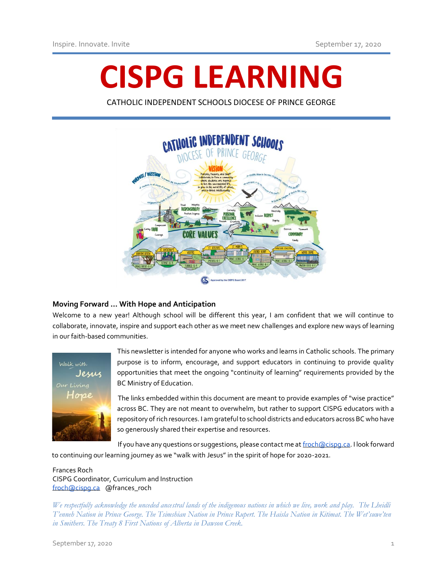# **CISPG LEARNING**

CATHOLIC INDEPENDENT SCHOOLS DIOCESE OF PRINCE GEORGE



## **Moving Forward … With Hope and Anticipation**

Welcome to a new year! Although school will be different this year, I am confident that we will continue to collaborate, innovate, inspire and support each other as we meet new challenges and explore new ways of learning in our faith-based communities.



This newsletter is intended for anyone who works and learns in Catholic schools. The primary purpose is to inform, encourage, and support educators in continuing to provide quality opportunities that meet the ongoing "continuity of learning" requirements provided by the BC Ministry of Education.

The links embedded within this document are meant to provide examples of "wise practice" across BC. They are not meant to overwhelm, but rather to support CISPG educators with a repository of rich resources. I am grateful to school districts and educators across BC who have so generously shared their expertise and resources.

If you have any questions or suggestions, please contact me a[t froch@cispg.ca.](mailto:froch@cispg.ca) I look forward to continuing our learning journey as we "walk with Jesus" in the spirit of hope for 2020-2021.

Frances Roch CISPG Coordinator, Curriculum and Instruction [froch@cispg.ca](mailto:froch@cispg.ca) @frances\_roch

*We respectfully acknowledge the unceded ancestral lands of the indigenous nations in which we live, work and play. The Lheidli T'enneh Nation in Prince George. The Tsimshian Nation in Prince Rupert. The Haisla Nation in Kitimat. The Wet'suwe'ten in Smithers. The Treaty 8 First Nations of Alberta in Dawson Creek.*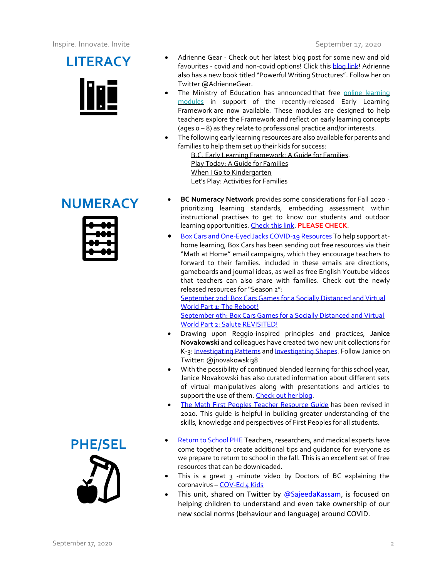



- **LITERACY** Adrienne Gear Check out her latest blog post for some new and old<br>favourites covid and non-covid options! Click this **[blog link!](https://readingpowergear.wordpress.com/)** Adrienne also has a new book titled "Powerful Writing Structures". Follow her on Twitter @AdrienneGear.
	- The Ministry of Education has announced that free online learning [modules](http://clicker.eshelf.org/ls/click?upn=PGT6ayCGxzWkv0w2kSGuNtlz5xqAt133H4VrbS-2F5k2QvRuxLx7Vy5QquVCqpttswnU4Y_IpA7hxueGg5XIsiAxedwPL77Bm89quAa5Gga3EO37FO8EBz1k7qiFjwHI7qVJoOAbF12z5n-2FcrNFvCvUrNH5zjDHx3ER7xhESggVlGdipAADBzxOHlWGItrr-2BLkJzZqxKWK5W8I7gMKXdVizWOgMci-2FE78-2Bo55pZIiIkBUpn7vIiVYdjdB5ehAT97Kg6eGSfGZjm5qMphCG5SkjMcs1IGsjRxQG3ieYHyhluMikh7-2FGbl2OVi7cjv1Jr9K4iKpCAczQ2Xt0QjD36KkVAsuv3UeqcpJBZ8tcGWl8yJOAbIwjSbngAc5J8K5E3IW8tswvAp-2B-2BwgPq5ciyFP0QOmBvC-2FNTZe-2FoJ3xtr38IOLF4CmDAQMmUgj1DpTr0iM-2BMdqP98zXilo0C4OxjtGIwZ4zPv-2F32GYp99Mk554QDWyhVL8bs-3D) in support of the recently-released Early Learning Framework are now available. These modules are designed to help teachers explore the Framework and reflect on early learning concepts (ages 0 – 8) as they relate to professional practice and/or interests.
	- The following early learning resources are also available for parents and families to help them set up their kids for success:

[B.C. Early Learning Framework: A Guide for Families.](http://clicker.eshelf.org/ls/click?upn=-2BHBz3buRMGl-2FwgxQCIrJbDtPDDeYzQXj6-2FauymL-2FGqxoVH7ZwGrvh1XFBpQBFJSr6FrxupwiZrZqoij9ru8GlR2R-2B0cfrhqOZruQBv-2BHWUvKTXdqQ2dgC0MUQ9oasQ5oc80yfFDYvXsWsEtPr2awDSJzHrn9T-2BZ9i3MciFYd25s-3DsOqR_IpA7hxueGg5XIsiAxedwPL77Bm89quAa5Gga3EO37FO8EBz1k7qiFjwHI7qVJoOAbF12z5n-2FcrNFvCvUrNH5zjDHx3ER7xhESggVlGdipAADBzxOHlWGItrr-2BLkJzZqxKWK5W8I7gMKXdVizWOgMci-2FE78-2Bo55pZIiIkBUpn7vIiVYdjdB5ehAT97Kg6eGSfGZjm5qMphCG5SkjMcs1IGsjRxQG3ieYHyhluMikh7-2FGbl2OVi7cjv1Jr9K4iKpCAg9-2FC3zzHa-2BJ0jVBQ-2BU818zLBIpFBssYdglH4f047ywjRlofABbdlsBBp3z0PmIlShXyQIBWLffrjh-2BRm6gd5yA4AEfOe31mM6Mdly2oPRcRiuTZ9NC02gRfgmaHW6KgVbIdqgNufBHCyglPboDkBHoyhsdjyc3lsUS3hLnCXVvk-3D) [Play Today: A Guide for Families](http://clicker.eshelf.org/ls/click?upn=-2BHBz3buRMGl-2FwgxQCIrJbDtPDDeYzQXj6-2FauymL-2FGqxoVH7ZwGrvh1XFBpQBFJSr6FrxupwiZrZqoij9ru8GlR2R-2B0cfrhqOZruQBv-2BHWUs4-2FxDwpRyy23J2fkQ8vEY4vlGgWINVlJPLX4yseDGodYa5aypB-2BwHjcpDXxmMNrGI-3D8xsn_IpA7hxueGg5XIsiAxedwPL77Bm89quAa5Gga3EO37FO8EBz1k7qiFjwHI7qVJoOAbF12z5n-2FcrNFvCvUrNH5zjDHx3ER7xhESggVlGdipAADBzxOHlWGItrr-2BLkJzZqxKWK5W8I7gMKXdVizWOgMci-2FE78-2Bo55pZIiIkBUpn7vIiVYdjdB5ehAT97Kg6eGSfGZjm5qMphCG5SkjMcs1IGsjRxQG3ieYHyhluMikh7-2FGbl2OVi7cjv1Jr9K4iKpCAk325TekUZawozR7BbBBxuqt-2BRKfbfROUN7c-2BuW4vJS7gPej3JgCR3f-2FwFggGqHIWQZ0LZ16SCm6w-2FTWkMWY8humg-2F1wvR0VO7pOUTlqcvbHiJSBYllhyudV-2BRAIbTEAnvGwHWTw2WP-2BC-2FC-2BLqx4Rqd0WGHr1SAq1hkqo3JnsRPU-3D) [When I Go to Kindergarten](http://clicker.eshelf.org/ls/click?upn=-2BHBz3buRMGl-2FwgxQCIrJbDtPDDeYzQXj6-2FauymL-2FGqxoVH7ZwGrvh1XFBpQBFJSr6FrxupwiZrZqoij9ru8GlUduQHAc0llGnZrBVXd9V11L9wddfAGGvoBAa4vmJaoEI3DGlAQHEwWXhwCXZFiXZw-3D-3DppPr_IpA7hxueGg5XIsiAxedwPL77Bm89quAa5Gga3EO37FO8EBz1k7qiFjwHI7qVJoOAbF12z5n-2FcrNFvCvUrNH5zjDHx3ER7xhESggVlGdipAADBzxOHlWGItrr-2BLkJzZqxKWK5W8I7gMKXdVizWOgMci-2FE78-2Bo55pZIiIkBUpn7vIiVYdjdB5ehAT97Kg6eGSfGZjm5qMphCG5SkjMcs1IGsjRxQG3ieYHyhluMikh7-2FGbl2OVi7cjv1Jr9K4iKpCAiNiwFK7Pz0ckAJNc1TQ9qDYe134xE9Ys8j9Rvg0Y5Uks1MoaRXoWANTHBTBnZH56uSv3neX3hOYPJG8ga0zKbfoQI-2BHskj-2BZ-2FjR2zG2TvKtt7hetT1RRwX7Qy2iKoTBU-2BbpquQARdrhZbkaQGrcU7aoAwtyymVlNprj4yWFcZN8-3D) [Let's Play: Activities for Families](http://clicker.eshelf.org/ls/click?upn=-2BHBz3buRMGl-2FwgxQCIrJbHUADxJ-2B8oIEvvncmPsYHmTnw0giRiaz3vpjDLzFZWoGEdbQ2Isnyynz6fk5mzdChJ3fAI5Bku7UrIl2j4rFZHmx377GPByOvCbTks32yKrjyPW5-2FgixaxfoO9O9UU0y9Q-3D-3DGlAu_IpA7hxueGg5XIsiAxedwPL77Bm89quAa5Gga3EO37FO8EBz1k7qiFjwHI7qVJoOAbF12z5n-2FcrNFvCvUrNH5zjDHx3ER7xhESggVlGdipAADBzxOHlWGItrr-2BLkJzZqxKWK5W8I7gMKXdVizWOgMci-2FE78-2Bo55pZIiIkBUpn7vIiVYdjdB5ehAT97Kg6eGSfGZjm5qMphCG5SkjMcs1IGsjRxQG3ieYHyhluMikh7-2FGbl2OVi7cjv1Jr9K4iKpCANL-2F64UsUNYTSFWFVXzQPeDel6JNa8Dyltexh65Z-2FcSWOfHFooUT81OSW7ECWDeu9DY23CLH3FXcNaRNYcWVoXkeySYUnaYkrm-2Fyf-2BCu7jTNwJO9d7TCVXLPRPIISQmzHwM6jy6vglca8YEIB9kLgd4K2qhV9cR0raR7q-2FJPTV0g-3D)

- **NUMERACY** BC Numeracy Network provides some considerations for Fall 2020 -<br>
prioritizing learning standards, embedding assessment within instructional practises to get to know our students and outdoor learning opportunities. [Check this link.](https://sites.google.com/view/bc-numeracy-network) **PLEASE CHECK**.
	- [Box Cars and One-Eyed Jacks COVID-19 Resources](https://www.boxcarsandoneeyedjacks.com/covid-19-resource-page/) To help support athome learning, Box Cars has been sending out free resources via their "Math at Home" email campaigns, which they encourage teachers to forward to their families. included in these emails are directions, gameboards and journal ideas, as well as free English Youtube videos that teachers can also share with families. Check out the newly released resources for "Season 2":

[September 2nd: Box Cars Games for a Socially Distanced and Virtual](https://www.boxcarsandoneeyedjacks.com/wordpress/wp-content/uploads/2020/09/1746e578d4d.pdf)  [World Part 1: The Reboot!](https://www.boxcarsandoneeyedjacks.com/wordpress/wp-content/uploads/2020/09/1746e578d4d.pdf)

[September 9th: Box Cars Games for a Socially Distanced and Virtual](https://www.boxcarsandoneeyedjacks.com/wordpress/wp-content/uploads/2020/09/Back-to-School-2020-part-2.pdf)  [World Part 2: Salute REVISITED!](https://www.boxcarsandoneeyedjacks.com/wordpress/wp-content/uploads/2020/09/Back-to-School-2020-part-2.pdf)

- Drawing upon Reggio-inspired principles and practices, **Janice Novakowski** and colleagues have created two new unit collections for K-3: [Investigating Patterns](https://janicenovkam.typepad.com/files/bcrim__investigating_patterns_2020-final.pdf) and [Investigating Shapes.](https://janicenovkam.typepad.com/files/bcrim__investigating_shapes_2020_final.pdf) Follow Janice on Twitter: @jnovakowski38
- With the possibility of continued blended learning for this school year, Janice Novakowski has also curated information about different sets of virtual manipulatives along with presentations and articles to support the use of them. [Check out her blog.](https://blogs.sd38.bc.ca/sd38mathandscience/2020/06/19/virtual-manipulatives/)
- [The Math First Peoples Teacher Resource Guide](http://www.fnesc.ca/math-first-peoples/) has been revised in 2020. This guide is helpful in building greater understanding of the skills, knowledge and perspectives of First Peoples for all students.
- **PHE/SEL** [Return to School PHE](https://phecanada.ca/activate/return-school-phe) Teachers, researchers, and medical experts have<br>come together to create additional tips and guidance for everyone as we prepare to return to school in the fall. This is an excellent set of free resources that can be downloaded.
	- This is a great 3 -minute video by Doctors of BC explaining the coronavirus – [COV-Ed 4 Kids](https://www.youtube.com/watch?v=0DWCpNffhyw)
	- This unit, shared on Twitter by  $\omega$ SajeedaKassam, is focused on helping children to understand and even take ownership of our new social norms (behaviour and language) around COVID.